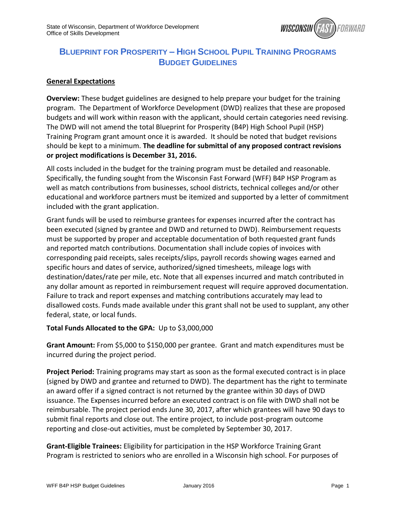

# **BLUEPRINT FOR PROSPERITY – HIGH SCHOOL PUPIL TRAINING PROGRAMS BUDGET GUIDELINES**

#### **General Expectations**

**Overview:** These budget guidelines are designed to help prepare your budget for the training program. The Department of Workforce Development (DWD) realizes that these are proposed budgets and will work within reason with the applicant, should certain categories need revising. The DWD will not amend the total Blueprint for Prosperity (B4P) High School Pupil (HSP) Training Program grant amount once it is awarded. It should be noted that budget revisions should be kept to a minimum. **The deadline for submittal of any proposed contract revisions or project modifications is December 31, 2016.**

All costs included in the budget for the training program must be detailed and reasonable. Specifically, the funding sought from the Wisconsin Fast Forward (WFF) B4P HSP Program as well as match contributions from businesses, school districts, technical colleges and/or other educational and workforce partners must be itemized and supported by a letter of commitment included with the grant application.

Grant funds will be used to reimburse grantees for expenses incurred after the contract has been executed (signed by grantee and DWD and returned to DWD). Reimbursement requests must be supported by proper and acceptable documentation of both requested grant funds and reported match contributions. Documentation shall include copies of invoices with corresponding paid receipts, sales receipts/slips, payroll records showing wages earned and specific hours and dates of service, authorized/signed timesheets, mileage logs with destination/dates/rate per mile, etc. Note that all expenses incurred and match contributed in any dollar amount as reported in reimbursement request will require approved documentation. Failure to track and report expenses and matching contributions accurately may lead to disallowed costs. Funds made available under this grant shall not be used to supplant, any other federal, state, or local funds.

#### **Total Funds Allocated to the GPA:** Up to \$3,000,000

**Grant Amount:** From \$5,000 to \$150,000 per grantee. Grant and match expenditures must be incurred during the project period.

**Project Period:** Training programs may start as soon as the formal executed contract is in place (signed by DWD and grantee and returned to DWD). The department has the right to terminate an award offer if a signed contract is not returned by the grantee within 30 days of DWD issuance. The Expenses incurred before an executed contract is on file with DWD shall not be reimbursable. The project period ends June 30, 2017, after which grantees will have 90 days to submit final reports and close out. The entire project, to include post-program outcome reporting and close-out activities, must be completed by September 30, 2017.

**Grant-Eligible Trainees:** Eligibility for participation in the HSP Workforce Training Grant Program is restricted to seniors who are enrolled in a Wisconsin high school. For purposes of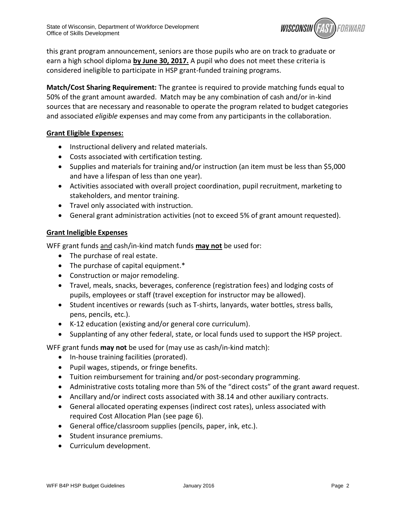

this grant program announcement, seniors are those pupils who are on track to graduate or earn a high school diploma **by June 30, 2017.** A pupil who does not meet these criteria is considered ineligible to participate in HSP grant-funded training programs.

**Match/Cost Sharing Requirement:** The grantee is required to provide matching funds equal to 50% of the grant amount awarded. Match may be any combination of cash and/or in-kind sources that are necessary and reasonable to operate the program related to budget categories and associated *eligible* expenses and may come from any participants in the collaboration.

# **Grant Eligible Expenses:**

- Instructional delivery and related materials.
- Costs associated with certification testing.
- Supplies and materials for training and/or instruction (an item must be less than \$5,000 and have a lifespan of less than one year).
- Activities associated with overall project coordination, pupil recruitment, marketing to stakeholders, and mentor training.
- Travel only associated with instruction.
- General grant administration activities (not to exceed 5% of grant amount requested).

# **Grant Ineligible Expenses**

WFF grant funds and cash/in-kind match funds **may not** be used for:

- The purchase of real estate.
- The purchase of capital equipment.\*
- Construction or major remodeling.
- Travel, meals, snacks, beverages, conference (registration fees) and lodging costs of pupils, employees or staff (travel exception for instructor may be allowed).
- Student incentives or rewards (such as T-shirts, lanyards, water bottles, stress balls, pens, pencils, etc.).
- K-12 education (existing and/or general core curriculum).
- Supplanting of any other federal, state, or local funds used to support the HSP project.

WFF grant funds **may not** be used for (may use as cash/in-kind match):

- In-house training facilities (prorated).
- Pupil wages, stipends, or fringe benefits.
- Tuition reimbursement for training and/or post-secondary programming.
- Administrative costs totaling more than 5% of the "direct costs" of the grant award request.
- Ancillary and/or indirect costs associated with 38.14 and other auxiliary contracts.
- General allocated operating expenses (indirect cost rates), unless associated with required Cost Allocation Plan (see page 6).
- General office/classroom supplies (pencils, paper, ink, etc.).
- Student insurance premiums.
- Curriculum development.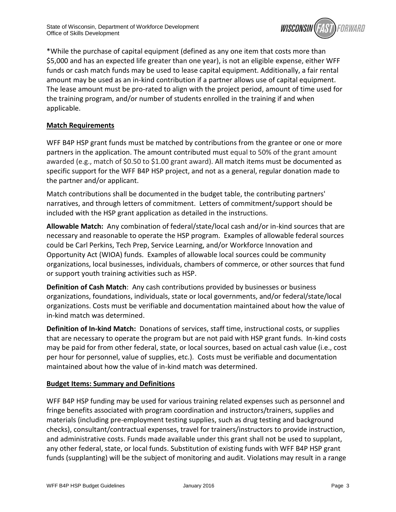

\*While the purchase of capital equipment (defined as any one item that costs more than \$5,000 and has an expected life greater than one year), is not an eligible expense, either WFF funds or cash match funds may be used to lease capital equipment. Additionally, a fair rental amount may be used as an in-kind contribution if a partner allows use of capital equipment. The lease amount must be pro-rated to align with the project period, amount of time used for the training program, and/or number of students enrolled in the training if and when applicable.

# **Match Requirements**

WFF B4P HSP grant funds must be matched by contributions from the grantee or one or more partners in the application. The amount contributed must equal to 50% of the grant amount awarded (e.g., match of \$0.50 to \$1.00 grant award). All match items must be documented as specific support for the WFF B4P HSP project, and not as a general, regular donation made to the partner and/or applicant.

Match contributions shall be documented in the budget table, the contributing partners' narratives, and through letters of commitment. Letters of commitment/support should be included with the HSP grant application as detailed in the instructions.

**Allowable Match:** Any combination of federal/state/local cash and/or in-kind sources that are necessary and reasonable to operate the HSP program. Examples of allowable federal sources could be Carl Perkins, Tech Prep, Service Learning, and/or Workforce Innovation and Opportunity Act (WIOA) funds. Examples of allowable local sources could be community organizations, local businesses, individuals, chambers of commerce, or other sources that fund or support youth training activities such as HSP.

**Definition of Cash Match**: Any cash contributions provided by businesses or business organizations, foundations, individuals, state or local governments, and/or federal/state/local organizations. Costs must be verifiable and documentation maintained about how the value of in-kind match was determined.

**Definition of In-kind Match:** Donations of services, staff time, instructional costs, or supplies that are necessary to operate the program but are not paid with HSP grant funds. In-kind costs may be paid for from other federal, state, or local sources, based on actual cash value (i.e., cost per hour for personnel, value of supplies, etc.). Costs must be verifiable and documentation maintained about how the value of in-kind match was determined.

# **Budget Items: Summary and Definitions**

WFF B4P HSP funding may be used for various training related expenses such as personnel and fringe benefits associated with program coordination and instructors/trainers, supplies and materials (including pre-employment testing supplies, such as drug testing and background checks), consultant/contractual expenses, travel for trainers/instructors to provide instruction, and administrative costs. Funds made available under this grant shall not be used to supplant, any other federal, state, or local funds. Substitution of existing funds with WFF B4P HSP grant funds (supplanting) will be the subject of monitoring and audit. Violations may result in a range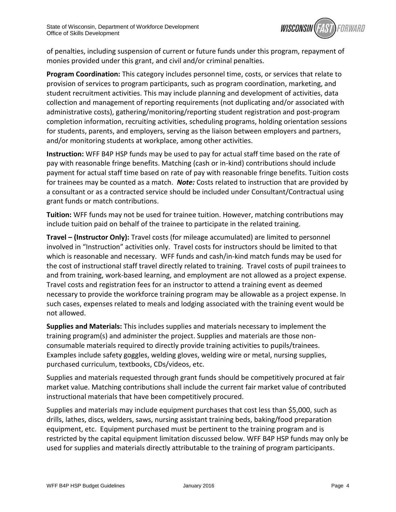

of penalties, including suspension of current or future funds under this program, repayment of monies provided under this grant, and civil and/or criminal penalties.

**Program Coordination:** This category includes personnel time, costs, or services that relate to provision of services to program participants, such as program coordination, marketing, and student recruitment activities. This may include planning and development of activities, data collection and management of reporting requirements (not duplicating and/or associated with administrative costs), gathering/monitoring/reporting student registration and post-program completion information, recruiting activities, scheduling programs, holding orientation sessions for students, parents, and employers, serving as the liaison between employers and partners, and/or monitoring students at workplace, among other activities.

**Instruction:** WFF B4P HSP funds may be used to pay for actual staff time based on the rate of pay with reasonable fringe benefits. Matching (cash or in-kind) contributions should include payment for actual staff time based on rate of pay with reasonable fringe benefits. Tuition costs for trainees may be counted as a match. *Note:* Costs related to instruction that are provided by a consultant or as a contracted service should be included under Consultant/Contractual using grant funds or match contributions.

**Tuition:** WFF funds may not be used for trainee tuition. However, matching contributions may include tuition paid on behalf of the trainee to participate in the related training.

**Travel – (Instructor Only):** Travel costs (for mileage accumulated) are limited to personnel involved in "Instruction" activities only. Travel costs for instructors should be limited to that which is reasonable and necessary. WFF funds and cash/in-kind match funds may be used for the cost of instructional staff travel directly related to training. Travel costs of pupil trainees to and from training, work-based learning, and employment are not allowed as a project expense. Travel costs and registration fees for an instructor to attend a training event as deemed necessary to provide the workforce training program may be allowable as a project expense. In such cases, expenses related to meals and lodging associated with the training event would be not allowed.

**Supplies and Materials:** This includes supplies and materials necessary to implement the training program(s) and administer the project. Supplies and materials are those nonconsumable materials required to directly provide training activities to pupils/trainees. Examples include safety goggles, welding gloves, welding wire or metal, nursing supplies, purchased curriculum, textbooks, CDs/videos, etc.

Supplies and materials requested through grant funds should be competitively procured at fair market value. Matching contributions shall include the current fair market value of contributed instructional materials that have been competitively procured.

Supplies and materials may include equipment purchases that cost less than \$5,000, such as drills, lathes, discs, welders, saws, nursing assistant training beds, baking/food preparation equipment, etc. Equipment purchased must be pertinent to the training program and is restricted by the capital equipment limitation discussed below. WFF B4P HSP funds may only be used for supplies and materials directly attributable to the training of program participants.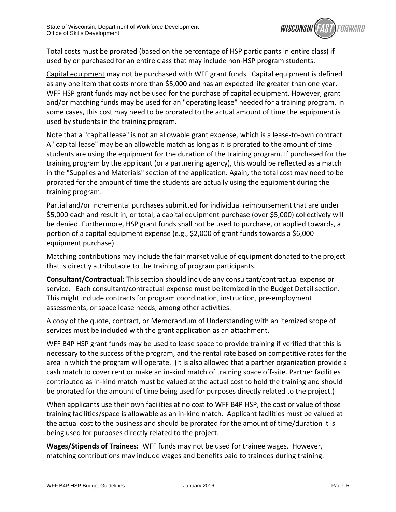

Total costs must be prorated (based on the percentage of HSP participants in entire class) if used by or purchased for an entire class that may include non-HSP program students.

Capital equipment may not be purchased with WFF grant funds. Capital equipment is defined as any one item that costs more than \$5,000 and has an expected life greater than one year. WFF HSP grant funds may not be used for the purchase of capital equipment. However, grant and/or matching funds may be used for an "operating lease" needed for a training program. In some cases, this cost may need to be prorated to the actual amount of time the equipment is used by students in the training program.

Note that a "capital lease" is not an allowable grant expense, which is a lease-to-own contract. A "capital lease" may be an allowable match as long as it is prorated to the amount of time students are using the equipment for the duration of the training program. If purchased for the training program by the applicant (or a partnering agency), this would be reflected as a match in the "Supplies and Materials" section of the application. Again, the total cost may need to be prorated for the amount of time the students are actually using the equipment during the training program.

Partial and/or incremental purchases submitted for individual reimbursement that are under \$5,000 each and result in, or total, a capital equipment purchase (over \$5,000) collectively will be denied. Furthermore, HSP grant funds shall not be used to purchase, or applied towards, a portion of a capital equipment expense (e.g., \$2,000 of grant funds towards a \$6,000 equipment purchase).

Matching contributions may include the fair market value of equipment donated to the project that is directly attributable to the training of program participants.

**Consultant/Contractual:** This section should include any consultant/contractual expense or service. Each consultant/contractual expense must be itemized in the Budget Detail section. This might include contracts for program coordination, instruction, pre-employment assessments, or space lease needs, among other activities.

A copy of the quote, contract, or Memorandum of Understanding with an itemized scope of services must be included with the grant application as an attachment.

WFF B4P HSP grant funds may be used to lease space to provide training if verified that this is necessary to the success of the program, and the rental rate based on competitive rates for the area in which the program will operate. (It is also allowed that a partner organization provide a cash match to cover rent or make an in-kind match of training space off-site. Partner facilities contributed as in-kind match must be valued at the actual cost to hold the training and should be prorated for the amount of time being used for purposes directly related to the project.)

When applicants use their own facilities at no cost to WFF B4P HSP, the cost or value of those training facilities/space is allowable as an in-kind match. Applicant facilities must be valued at the actual cost to the business and should be prorated for the amount of time/duration it is being used for purposes directly related to the project.

**Wages/Stipends of Trainees:** WFF funds may not be used for trainee wages. However, matching contributions may include wages and benefits paid to trainees during training.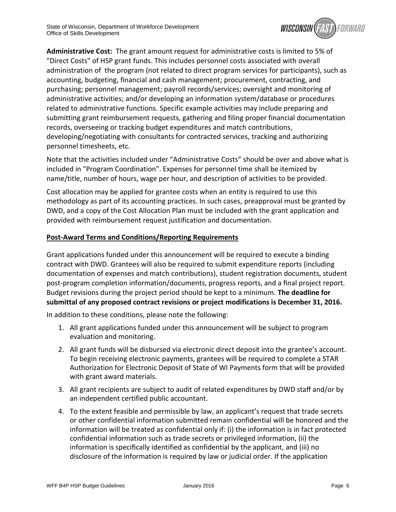

**Administrative Cost:** The grant amount request for administrative costs is limited to 5% of "Direct Costs" of HSP grant funds. This includes personnel costs associated with overall administration of the program (not related to direct program services for participants), such as accounting, budgeting, financial and cash management; procurement, contracting, and purchasing; personnel management; payroll records/services; oversight and monitoring of administrative activities; and/or developing an information system/database or procedures related to administrative functions. Specific example activities may include preparing and submitting grant reimbursement requests, gathering and filing proper financial documentation records, overseeing or tracking budget expenditures and match contributions, developing/negotiating with consultants for contracted services, tracking and authorizing personnel timesheets, etc.

Note that the activities included under "Administrative Costs" should be over and above what is included in "Program Coordination". Expenses for personnel time shall be itemized by name/title, number of hours, wage per hour, and description of activities to be provided.

Cost allocation may be applied for grantee costs when an entity is required to use this methodology as part of its accounting practices. In such cases, preapproval must be granted by DWD, and a copy of the Cost Allocation Plan must be included with the grant application and provided with reimbursement request justification and documentation.

# **Post-Award Terms and Conditions/Reporting Requirements**

Grant applications funded under this announcement will be required to execute a binding contract with DWD. Grantees will also be required to submit expenditure reports (including documentation of expenses and match contributions), student registration documents, student post-program completion information/documents, progress reports, and a final project report. Budget revisions during the project period should be kept to a minimum. **The deadline for submittal of any proposed contract revisions or project modifications is December 31, 2016.**

In addition to these conditions, please note the following:

- 1. All grant applications funded under this announcement will be subject to program evaluation and monitoring.
- 2. All grant funds will be disbursed via electronic direct deposit into the grantee's account. To begin receiving electronic payments, grantees will be required to complete a STAR Authorization for Electronic Deposit of State of WI Payments form that will be provided with grant award materials.
- 3. All grant recipients are subject to audit of related expenditures by DWD staff and/or by an independent certified public accountant.
- 4. To the extent feasible and permissible by law, an applicant's request that trade secrets or other confidential information submitted remain confidential will be honored and the information will be treated as confidential only if: (i) the information is in fact protected confidential information such as trade secrets or privileged information, (ii) the information is specifically identified as confidential by the applicant, and (iii) no disclosure of the information is required by law or judicial order. If the application